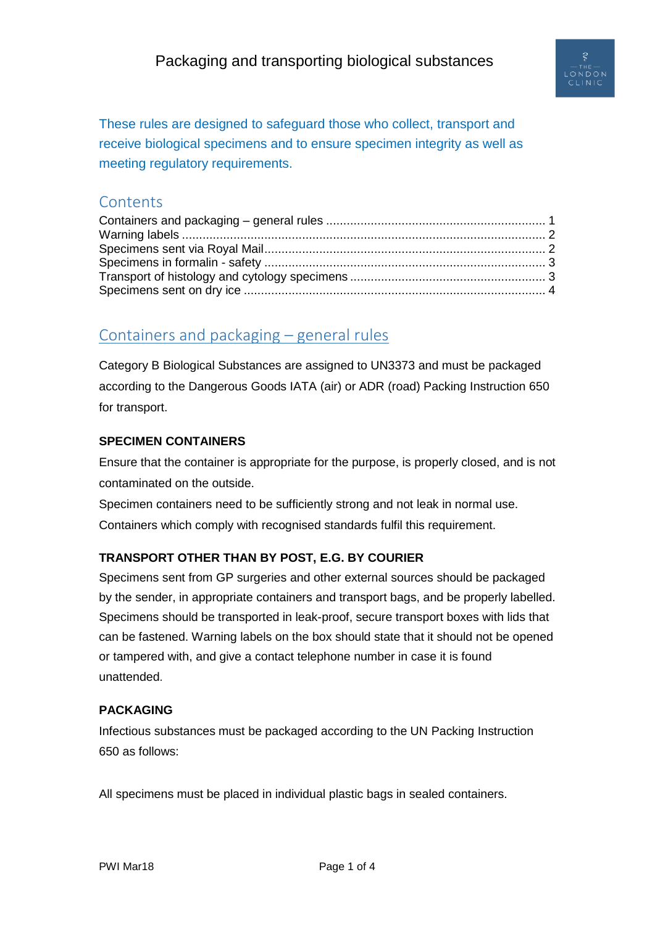

These rules are designed to safeguard those who collect, transport and receive biological specimens and to ensure specimen integrity as well as meeting regulatory requirements.

#### **Contents**

# <span id="page-0-0"></span>Containers and packaging – general rules

Category B Biological Substances are assigned to UN3373 and must be packaged according to the Dangerous Goods IATA (air) or ADR (road) Packing Instruction 650 for transport.

#### **SPECIMEN CONTAINERS**

Ensure that the container is appropriate for the purpose, is properly closed, and is not contaminated on the outside.

Specimen containers need to be sufficiently strong and not leak in normal use. Containers which comply with recognised standards fulfil this requirement.

#### **TRANSPORT OTHER THAN BY POST, E.G. BY COURIER**

Specimens sent from GP surgeries and other external sources should be packaged by the sender, in appropriate containers and transport bags, and be properly labelled. Specimens should be transported in leak-proof, secure transport boxes with lids that can be fastened. Warning labels on the box should state that it should not be opened or tampered with, and give a contact telephone number in case it is found unattended.

#### **PACKAGING**

Infectious substances must be packaged according to the UN Packing Instruction 650 as follows:

All specimens must be placed in individual plastic bags in sealed containers.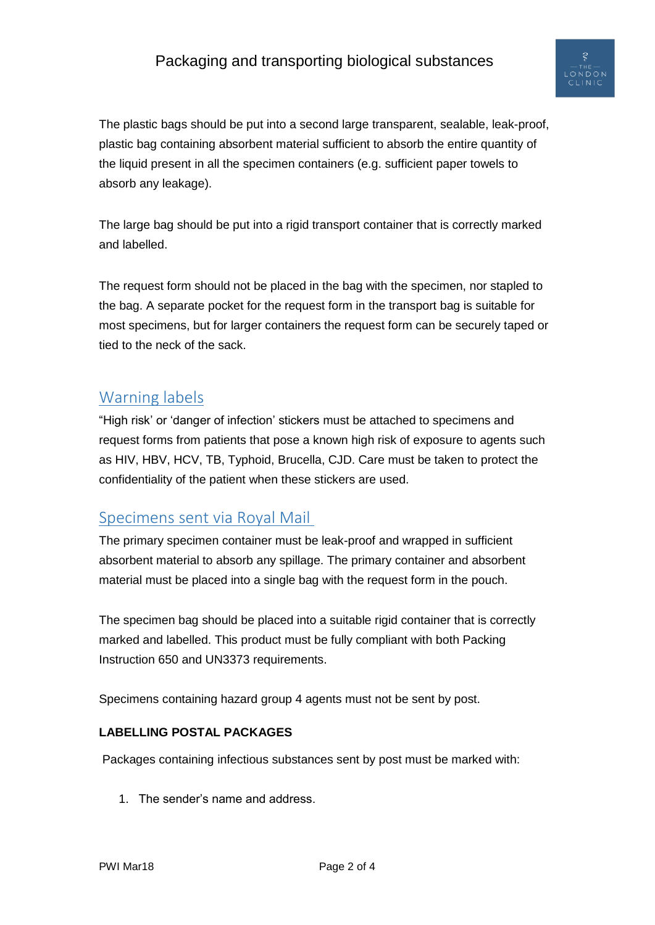# Packaging and transporting biological substances

The plastic bags should be put into a second large transparent, sealable, leak-proof, plastic bag containing absorbent material sufficient to absorb the entire quantity of the liquid present in all the specimen containers (e.g. sufficient paper towels to absorb any leakage).

The large bag should be put into a rigid transport container that is correctly marked and labelled.

The request form should not be placed in the bag with the specimen, nor stapled to the bag. A separate pocket for the request form in the transport bag is suitable for most specimens, but for larger containers the request form can be securely taped or tied to the neck of the sack.

### <span id="page-1-0"></span>Warning labels

"High risk' or 'danger of infection' stickers must be attached to specimens and request forms from patients that pose a known high risk of exposure to agents such as HIV, HBV, HCV, TB, Typhoid, Brucella, CJD. Care must be taken to protect the confidentiality of the patient when these stickers are used.

#### <span id="page-1-1"></span>Specimens sent via Royal Mail

The primary specimen container must be leak-proof and wrapped in sufficient absorbent material to absorb any spillage. The primary container and absorbent material must be placed into a single bag with the request form in the pouch.

The specimen bag should be placed into a suitable rigid container that is correctly marked and labelled. This product must be fully compliant with both Packing Instruction 650 and UN3373 requirements.

Specimens containing hazard group 4 agents must not be sent by post.

#### **LABELLING POSTAL PACKAGES**

Packages containing infectious substances sent by post must be marked with:

1. The sender's name and address.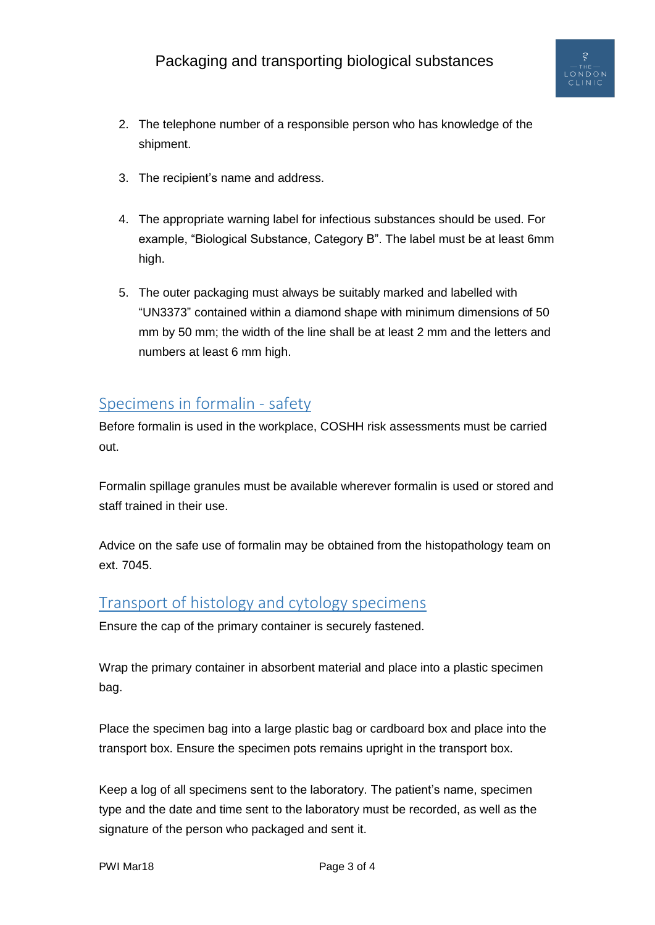

- 2. The telephone number of a responsible person who has knowledge of the shipment.
- 3. The recipient's name and address.
- 4. The appropriate warning label for infectious substances should be used. For example, "Biological Substance, Category B". The label must be at least 6mm high.
- 5. The outer packaging must always be suitably marked and labelled with "UN3373" contained within a diamond shape with minimum dimensions of 50 mm by 50 mm; the width of the line shall be at least 2 mm and the letters and numbers at least 6 mm high.

## <span id="page-2-0"></span>Specimens in formalin - safety

Before formalin is used in the workplace, COSHH risk assessments must be carried out.

Formalin spillage granules must be available wherever formalin is used or stored and staff trained in their use.

Advice on the safe use of formalin may be obtained from the histopathology team on ext. 7045.

## <span id="page-2-1"></span>Transport of histology and cytology specimens

Ensure the cap of the primary container is securely fastened.

Wrap the primary container in absorbent material and place into a plastic specimen bag.

Place the specimen bag into a large plastic bag or cardboard box and place into the transport box. Ensure the specimen pots remains upright in the transport box.

Keep a log of all specimens sent to the laboratory. The patient's name, specimen type and the date and time sent to the laboratory must be recorded, as well as the signature of the person who packaged and sent it.